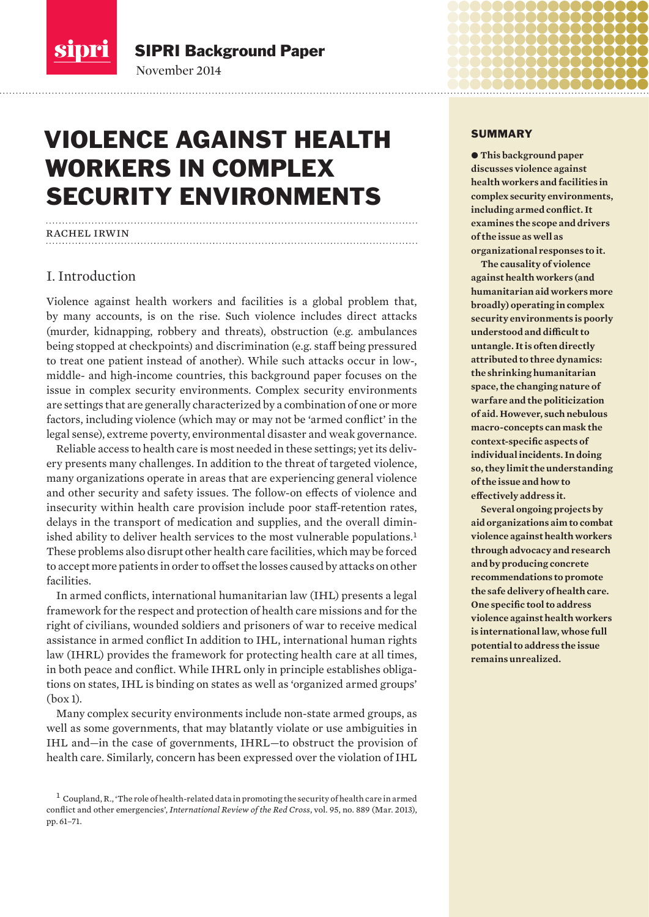

November 2014 SIPRI Background Paper

# VIOLENCE AGAINST HEALTH WORKERS IN COMPLEX SECURITY ENVIRONMENTS

## rachel irwin

## I. Introduction

Violence against health workers and facilities is a global problem that, by many accounts, is on the rise. Such violence includes direct attacks (murder, kidnapping, robbery and threats), obstruction (e.g. ambulances being stopped at checkpoints) and discrimination (e.g. staff being pressured to treat one patient instead of another). While such attacks occur in low-, middle- and high-income countries, this background paper focuses on the issue in complex security environments. Complex security environments are settings that are generally characterized by a combination of one or more factors, including violence (which may or may not be 'armed conflict' in the legal sense), extreme poverty, environmental disaster and weak governance.

Reliable access to health care is most needed in these settings; yet its delivery presents many challenges. In addition to the threat of targeted violence, many organizations operate in areas that are experiencing general violence and other security and safety issues. The follow-on effects of violence and insecurity within health care provision include poor staff-retention rates, delays in the transport of medication and supplies, and the overall diminished ability to deliver health services to the most vulnerable populations.<sup>1</sup> These problems also disrupt other health care facilities, which may be forced to accept more patients in order to offset the losses caused by attacks on other facilities.

In armed conflicts, international humanitarian law (IHL) presents a legal framework for the respect and protection of health care missions and for the right of civilians, wounded soldiers and prisoners of war to receive medical assistance in armed conflict In addition to IHL, international human rights law (IHRL) provides the framework for protecting health care at all times, in both peace and conflict. While IHRL only in principle establishes obligations on states, IHL is binding on states as well as 'organized armed groups' (box 1).

Many complex security environments include non-state armed groups, as well as some governments, that may blatantly violate or use ambiguities in IHL and—in the case of governments, IHRL—to obstruct the provision of health care. Similarly, concern has been expressed over the violation of IHL

#### SUMMARY

 $\bullet$  **This background paper discusses violence against health workers and facilities in complex security environments,**  including armed conflict. It **examines the scope and drivers of the issue as well as organizational responses to it.**

**The causality of violence against health workers (and humanitarian aid workers more broadly) operating in complex security environments is poorly understood and difficult to untangle. It is often directly attributed to three dynamics: the shrinking humanitarian space, the changing nature of warfare and the politicization of aid. However, such nebulous macro-concepts can mask the**  context-specific aspects of **individual incidents. In doing so, they limit the understanding of the issue and how to effectively address it.** 

**Several ongoing projects by aid organizations aim to combat violence against health workers through advocacy and research and by producing concrete recommendations to promote the safe delivery of health care. One specific tool to address violence against health workers is international law, whose full potential to address the issue remains unrealized.**

 $^1$  Coupland, R., 'The role of health-related data in promoting the security of health care in armed conflict and other emergencies', *International Review of the Red Cross*, vol. 95, no. 889 (Mar. 2013), pp. 61–71.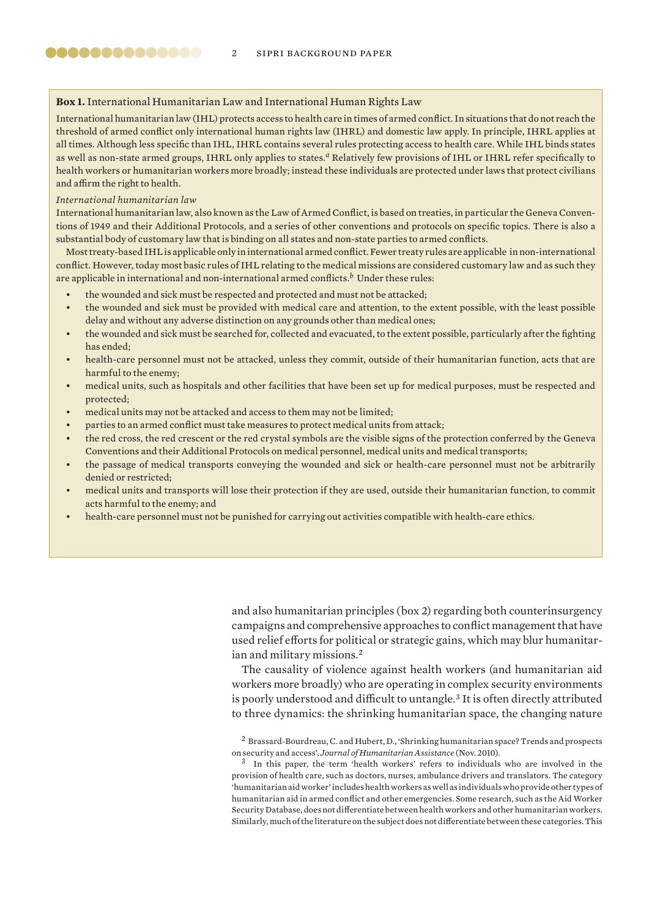## **Box 1.** International Humanitarian Law and International Human Rights Law

International humanitarian law (IHL) protects access to health care in times of armed conflict. In situations that do not reach the threshold of armed conflict only international human rights law (IHRL) and domestic law apply. In principle, IHRL applies at all times. Although less specific than IHL, IHRL contains several rules protecting access to health care. While IHL binds states as well as non-state armed groups, IHRL only applies to states.<sup>*a*</sup> Relatively few provisions of IHL or IHRL refer specifically to health workers or humanitarian workers more broadly; instead these individuals are protected under laws that protect civilians and affirm the right to health.

#### *International humanitarian law*

International humanitarian law, also known as the Law of Armed Conflict, is based on treaties, in particular the Geneva Conventions of 1949 and their Additional Protocols, and a series of other conventions and protocols on specific topics. There is also a substantial body of customary law that is binding on all states and non-state parties to armed conflicts.

Most treaty-based IHL is applicable only in international armed conflict. Fewer treaty rules are applicable in non-international conflict. However, today most basic rules of IHL relating to the medical missions are considered customary law and as such they are applicable in international and non-international armed conflicts.<sup>*b*</sup> Under these rules:

- the wounded and sick must be respected and protected and must not be attacked;
- the wounded and sick must be provided with medical care and attention, to the extent possible, with the least possible delay and without any adverse distinction on any grounds other than medical ones;
- the wounded and sick must be searched for, collected and evacuated, to the extent possible, particularly after the fighting has ended;
- health-care personnel must not be attacked, unless they commit, outside of their humanitarian function, acts that are harmful to the enemy;
- medical units, such as hospitals and other facilities that have been set up for medical purposes, must be respected and protected;
- medical units may not be attacked and access to them may not be limited;
- parties to an armed conflict must take measures to protect medical units from attack;
- the red cross, the red crescent or the red crystal symbols are the visible signs of the protection conferred by the Geneva Conventions and their Additional Protocols on medical personnel, medical units and medical transports;
- the passage of medical transports conveying the wounded and sick or health-care personnel must not be arbitrarily denied or restricted;
- medical units and transports will lose their protection if they are used, outside their humanitarian function, to commit acts harmful to the enemy; and
- health-care personnel must not be punished for carrying out activities compatible with health-care ethics.

and also humanitarian principles (box 2) regarding both counterinsurgency campaigns and comprehensive approaches to conflict management that have used relief efforts for political or strategic gains, which may blur humanitarian and military missions.<sup>2</sup>

The causality of violence against health workers (and humanitarian aid workers more broadly) who are operating in complex security environments is poorly understood and difficult to untangle.<sup>3</sup> It is often directly attributed to three dynamics: the shrinking humanitarian space, the changing nature

<sup>2</sup> Brassard-Bourdreau, C. and Hubert, D., 'Shrinking humanitarian space? Trends and prospects on security and access', *Journal of Humanitarian Assistance* (Nov. 2010).

In this paper, the term 'health workers' refers to individuals who are involved in the provision of health care, such as doctors, nurses, ambulance drivers and translators. The category 'humanitarian aid worker' includes health workers as well as individuals who provide other types of humanitarian aid in armed conflict and other emergencies. Some research, such as the Aid Worker Security Database, does not differentiate between health workers and other humanitarian workers. Similarly, much of the literature on the subject does not differentiate between these categories. This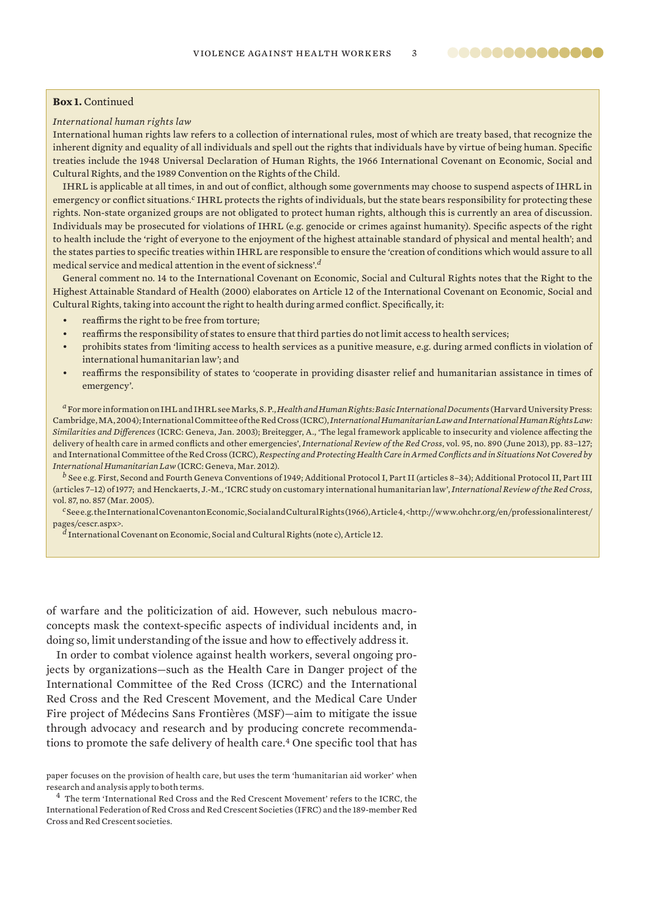## **Box 1.** Continued

#### *International human rights law*

International human rights law refers to a collection of international rules, most of which are treaty based, that recognize the inherent dignity and equality of all individuals and spell out the rights that individuals have by virtue of being human. Specific treaties include the 1948 Universal Declaration of Human Rights, the 1966 International Covenant on Economic, Social and Cultural Rights, and the 1989 Convention on the Rights of the Child.

.............

IHRL is applicable at all times, in and out of conflict, although some governments may choose to suspend aspects of IHRL in emergency or conflict situations.<sup>*c*</sup> IHRL protects the rights of individuals, but the state bears responsibility for protecting these rights. Non-state organized groups are not obligated to protect human rights, although this is currently an area of discussion. Individuals may be prosecuted for violations of IHRL (e.g. genocide or crimes against humanity). Specifi c aspects of the right to health include the 'right of everyone to the enjoyment of the highest attainable standard of physical and mental health'; and the states parties to specific treaties within IHRL are responsible to ensure the 'creation of conditions which would assure to all medical service and medical attention in the event of sickness'.*<sup>d</sup>*

General comment no. 14 to the International Covenant on Economic, Social and Cultural Rights notes that the Right to the Highest Attainable Standard of Health (2000) elaborates on Article 12 of the International Covenant on Economic, Social and Cultural Rights, taking into account the right to health during armed conflict. Specifically, it:

- reaffirms the right to be free from torture;
- reaffirms the responsibility of states to ensure that third parties do not limit access to health services;
- prohibits states from 'limiting access to health services as a punitive measure, e.g. during armed conflicts in violation of international humanitarian law'; and
- reaffirms the responsibility of states to 'cooperate in providing disaster relief and humanitarian assistance in times of emergency'.

*<sup>a</sup>* For more information on IHL and IHRL see Marks, S. P., *Health and Human Rights: Basic International Documents* (Harvard University Press: Cambridge, MA, 2004); International Committee of the Red Cross (ICRC), *International Humanitarian Law and International Human Rights Law: Similarities and Differences* (ICRC: Geneva, Jan. 2003); Breitegger, A., 'The legal framework applicable to insecurity and violence affecting the delivery of health care in armed conflicts and other emergencies', *International Review of the Red Cross*, vol. 95, no. 890 (June 2013), pp. 83-127; and International Committee of the Red Cross (ICRC), *Respecting and Protecting Health Care in Armed Confl icts and in Situations Not Covered by International Humanitarian Law* (ICRC: Geneva, Mar. 2012).

*<sup>b</sup>* See e.g. First, Second and Fourth Geneva Conventions of 1949; Additional Protocol I, Part II (articles 8–34); Additional Protocol II, Part III (articles 7–12) of 1977; and Henckaerts, J.-M., 'ICRC study on customary international humanitarian law', *International Review of the Red Cross*, vol. 87, no. 857 (Mar. 2005).

*<sup>c</sup>* See e.g. the International Covenant on Economic, Social and Cultural Rights (1966), Article 4, <http://www.ohchr.org/en/professionalinterest/ pages/cescr.aspx>.

*<sup>d</sup>* International Covenant on Economic, Social and Cultural Rights (note c), Article 12.

of warfare and the politicization of aid. However, such nebulous macroconcepts mask the context-specific aspects of individual incidents and, in doing so, limit understanding of the issue and how to effectively address it.

In order to combat violence against health workers, several ongoing projects by organizations—such as the Health Care in Danger project of the International Committee of the Red Cross (ICRC) and the International Red Cross and the Red Crescent Movement, and the Medical Care Under Fire project of Médecins Sans Frontières (MSF)—aim to mitigate the issue through advocacy and research and by producing concrete recommendations to promote the safe delivery of health care.<sup>4</sup> One specific tool that has

<sup>4</sup> The term 'International Red Cross and the Red Crescent Movement' refers to the ICRC, the International Federation of Red Cross and Red Crescent Societies (IFRC) and the 189-member Red Cross and Red Crescent societies.

paper focuses on the provision of health care, but uses the term 'humanitarian aid worker' when research and analysis apply to both terms.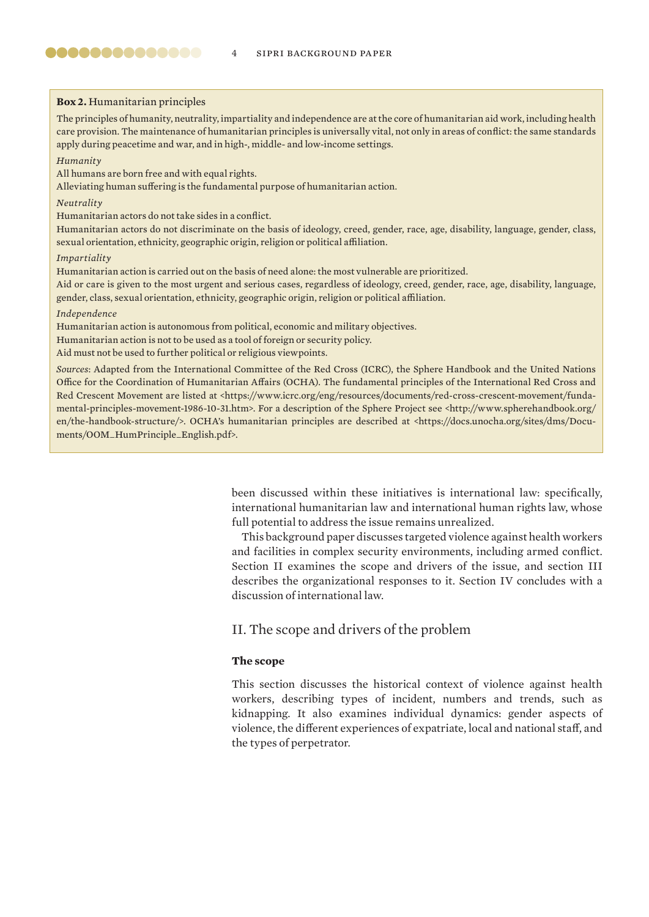#### **Box 2.** Humanitarian principles

The principles of humanity, neutrality, impartiality and independence are at the core of humanitarian aid work, including health care provision. The maintenance of humanitarian principles is universally vital, not only in areas of conflict: the same standards apply during peacetime and war, and in high-, middle- and low-income settings.

#### *Humanity*

All humans are born free and with equal rights.

Alleviating human suffering is the fundamental purpose of humanitarian action.

#### *Neutrality*

Humanitarian actors do not take sides in a conflict.

Humanitarian actors do not discriminate on the basis of ideology, creed, gender, race, age, disability, language, gender, class, sexual orientation, ethnicity, geographic origin, religion or political affiliation.

#### *Impartiality*

Humanitarian action is carried out on the basis of need alone: the most vulnerable are prioritized.

Aid or care is given to the most urgent and serious cases, regardless of ideology, creed, gender, race, age, disability, language, gender, class, sexual orientation, ethnicity, geographic origin, religion or political affiliation.

#### *Independence*

Humanitarian action is autonomous from political, economic and military objectives.

Humanitarian action is not to be used as a tool of foreign or security policy.

Aid must not be used to further political or religious viewpoints.

*Sources*: Adapted from the International Committee of the Red Cross (ICRC), the Sphere Handbook and the United Nations Office for the Coordination of Humanitarian Affairs (OCHA). The fundamental principles of the International Red Cross and Red Crescent Movement are listed at <https://www.icrc.org/eng/resources/documents/red-cross-crescent-movement/fundamental-principles-movement-1986-10-31.htm>. For a description of the Sphere Project see <http://www.spherehandbook.org/ en/the-handbook-structure/>. OCHA's humanitarian principles are described at <https://docs.unocha.org/sites/dms/Documents/OOM\_HumPrinciple\_English.pdf>.

> been discussed within these initiatives is international law: specifically, international humanitarian law and international human rights law, whose full potential to address the issue remains unrealized.

> This background paper discusses targeted violence against health workers and facilities in complex security environments, including armed conflict. Section II examines the scope and drivers of the issue, and section III describes the organizational responses to it. Section IV concludes with a discussion of international law.

## II. The scope and drivers of the problem

## **The scope**

This section discusses the historical context of violence against health workers, describing types of incident, numbers and trends, such as kidnapping. It also examines individual dynamics: gender aspects of violence, the different experiences of expatriate, local and national staff, and the types of perpetrator.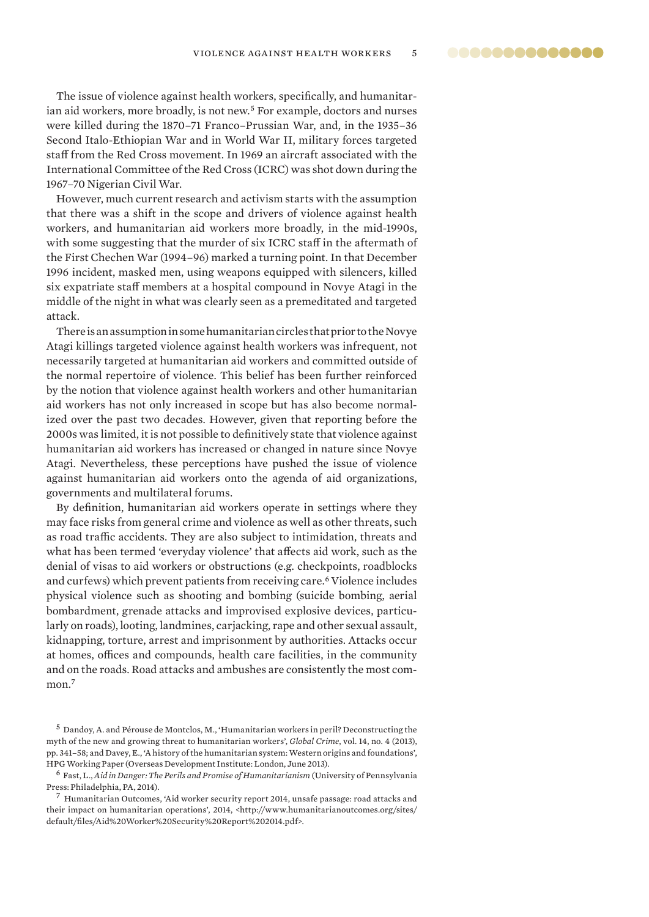The issue of violence against health workers, specifically, and humanitarian aid workers, more broadly, is not new.<sup>5</sup> For example, doctors and nurses were killed during the 1870–71 Franco–Prussian War, and, in the 1935–36 Second Italo-Ethiopian War and in World War II, military forces targeted staff from the Red Cross movement. In 1969 an aircraft associated with the International Committee of the Red Cross (ICRC) was shot down during the 1967–70 Nigerian Civil War.

However, much current research and activism starts with the assumption that there was a shift in the scope and drivers of violence against health workers, and humanitarian aid workers more broadly, in the mid-1990s, with some suggesting that the murder of six ICRC staff in the aftermath of the First Chechen War (1994–96) marked a turning point. In that December 1996 incident, masked men, using weapons equipped with silencers, killed six expatriate staff members at a hospital compound in Novye Atagi in the middle of the night in what was clearly seen as a premeditated and targeted attack.

There is an assumption in some humanitarian circles that prior to the Novye Atagi killings targeted violence against health workers was infrequent, not necessarily targeted at humanitarian aid workers and committed outside of the normal repertoire of violence. This belief has been further reinforced by the notion that violence against health workers and other humanitarian aid workers has not only increased in scope but has also become normalized over the past two decades. However, given that reporting before the 2000s was limited, it is not possible to definitively state that violence against humanitarian aid workers has increased or changed in nature since Novye Atagi. Nevertheless, these perceptions have pushed the issue of violence against humanitarian aid workers onto the agenda of aid organizations, governments and multilateral forums.

By definition, humanitarian aid workers operate in settings where they may face risks from general crime and violence as well as other threats, such as road traffic accidents. They are also subject to intimidation, threats and what has been termed 'everyday violence' that affects aid work, such as the denial of visas to aid workers or obstructions (e.g. checkpoints, roadblocks and curfews) which prevent patients from receiving care.<sup>6</sup> Violence includes physical violence such as shooting and bombing (suicide bombing, aerial bombardment, grenade attacks and improvised explosive devices, particularly on roads), looting, landmines, carjacking, rape and other sexual assault, kidnapping, torture, arrest and imprisonment by authorities. Attacks occur at homes, offices and compounds, health care facilities, in the community and on the roads. Road attacks and ambushes are consistently the most common.<sup>7</sup>

<sup>5</sup> Dandoy, A. and Pérouse de Montclos, M., 'Humanitarian workers in peril? Deconstructing the myth of the new and growing threat to humanitarian workers', *Global Crime*, vol. 14, no. 4 (2013), pp. 341–58; and Davey, E., 'A history of the humanitarian system: Western origins and foundations', HPG Working Paper (Overseas Development Institute: London, June 2013).

<sup>6</sup> Fast, L., *Aid in Danger: The Perils and Promise of Humanitarianism* (University of Pennsylvania Press: Philadelphia, PA, 2014).

 $^7\,$  Humanitarian Outcomes, 'Aid worker security report 2014, unsafe passage: road attacks and their impact on humanitarian operations', 2014, <http://www.humanitarianoutcomes.org/sites/ default/files/Aid%20Worker%20Security%20Report%202014.pdf>.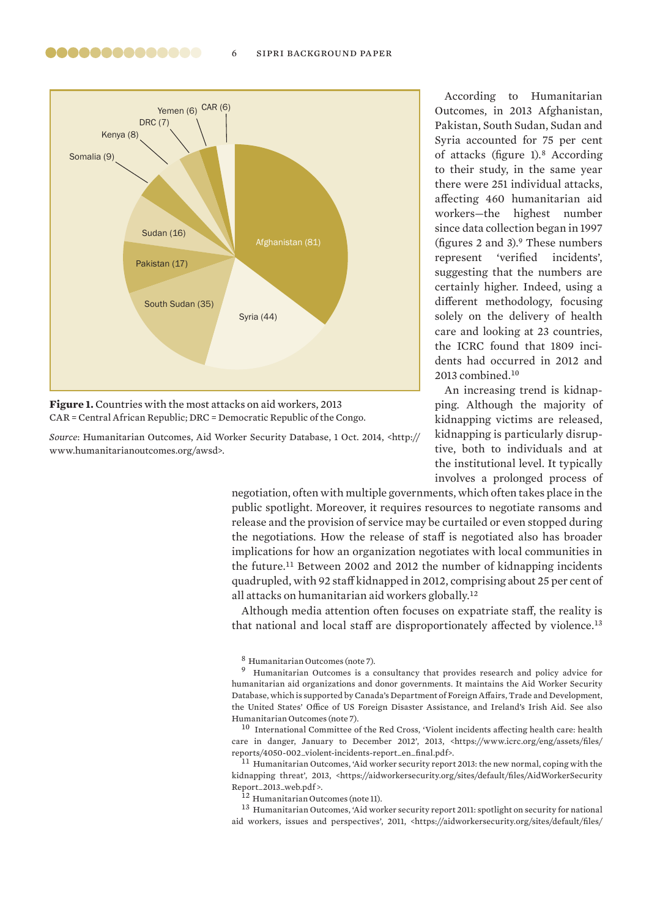#### 6 sipri background paper



,,,,,,,,,,,,,

**Figure 1.** Countries with the most attacks on aid workers, 2013 CAR = Central African Republic; DRC = Democratic Republic of the Congo.

*Source*: Humanitarian Outcomes, Aid Worker Security Database, 1 Oct. 2014, <http:// www.humanitarianoutcomes.org/awsd>.

Ac cording to Humanitarian Outcomes, in 2013 Afghanistan, Pakistan, South Sudan, Sudan and Syria accounted for 75 per cent of attacks (figure  $1$ ).<sup>8</sup> According to their study, in the same year there were 251 individual attacks, affecting 460 humanitarian aid workers—the highest number since data collection began in 1997 (figures 2 and 3). $9$  These numbers represent 'verified incidents'. suggesting that the numbers are certainly higher. Indeed, using a different methodology, focusing solely on the delivery of health care and looking at 23 countries, the ICRC found that 1809 incidents had occurred in 2012 and 2013 combined.<sup>10</sup>

An increasing trend is kidnapping. Although the majority of kidnapping victims are released, kidnapping is particularly disruptive, both to individuals and at the institutional level. It typically involves a prolonged process of

negotiation, often with multiple governments, which often takes place in the public spotlight. Moreover, it requires resources to negotiate ransoms and release and the provision of service may be curtailed or even stopped during the negotiations. How the release of staff is negotiated also has broader implications for how an organization negotiates with local communities in the future.<sup>11</sup> Between 2002 and 2012 the number of kidnapping incidents quadrupled, with 92 staff kidnapped in 2012, comprising about 25 per cent of all attacks on humanitarian aid workers globally.<sup>12</sup>

Although media attention often focuses on expatriate staff, the reality is that national and local staff are disproportionately affected by violence.<sup>13</sup>

<sup>8</sup> Humanitarian Outcomes (note 7).

<sup>9</sup> Humanitarian Outcomes is a consultancy that provides research and policy advice for humanitarian aid organizations and donor governments. It maintains the Aid Worker Security Database, which is supported by Canada's Department of Foreign Affairs, Trade and Development, the United States' Office of US Foreign Disaster Assistance, and Ireland's Irish Aid. See also Humanitarian Outcomes (note 7).

 $10$  International Committee of the Red Cross, 'Violent incidents affecting health care: health care in danger, January to December 2012', 2013, <https://www.icrc.org/eng/assets/files/ reports/4050-002\_violent-incidents-report\_en\_final.pdf>.

<sup>11</sup> Humanitarian Outcomes, 'Aid worker security report 2013: the new normal, coping with the kidnapping threat', 2013, <https://aidworkersecurity.org/sites/default/files/AidWorkerSecurity Report\_2013\_web.pdf >.

<sup>12</sup> Humanitarian Outcomes (note 11).

<sup>13</sup> Humanitarian Outcomes, 'Aid worker security report 2011: spotlight on security for national aid workers, issues and perspectives', 2011, <https://aidworkersecurity.org/sites/default/files/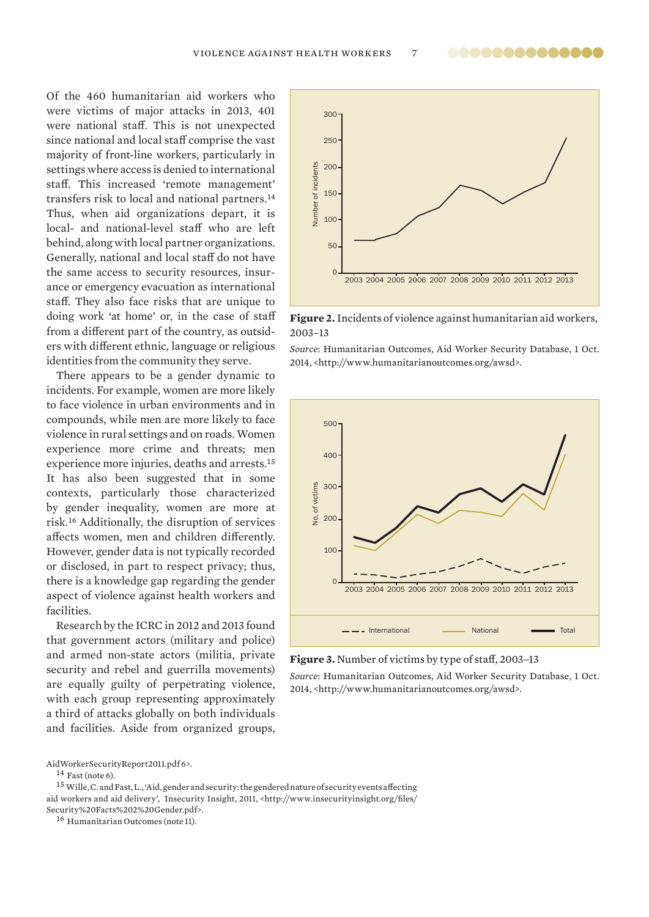Of the 460 humanitarian aid workers who were victims of major attacks in 2013, 401 were national staff. This is not unexpected since national and local staff comprise the vast majority of front-line workers, particularly in settings where access is denied to international staff. This increased 'remote management' transfers risk to local and national partners.<sup>14</sup> Thus, when aid organizations depart, it is local- and national-level staff who are left behind, along with local partner organizations. Generally, national and local staff do not have the same access to security resources, insurance or emergency evacuation as international staff. They also face risks that are unique to doing work 'at home' or, in the case of staff from a different part of the country, as outsiders with different ethnic, language or religious identities from the community they serve.

There appears to be a gender dynamic to incidents. For example, women are more likely to face violence in urban environments and in compounds, while men are more likely to face violence in rural settings and on roads. Women experience more crime and threats; men experience more injuries, deaths and arrests.<sup>15</sup> It has also been suggested that in some contexts, particularly those characterized by gender inequality, women are more at risk.<sup>16</sup> Additionally, the disruption of services affects women, men and children differently. However, gender data is not typically recorded or disclosed, in part to respect privacy; thus, there is a knowledge gap regarding the gender aspect of violence against health workers and facilities.

Research by the ICRC in 2012 and 2013 found that government actors (military and police) and armed non-state actors (militia, private security and rebel and guerrilla movements) are equally guilty of perpetrating violence, with each group representing approximately a third of attacks globally on both individuals and facilities. Aside from organized groups,

 $^{15}$  Wille, C. and Fast, L., 'Aid, gender and security: the gendered nature of security events affecting aid workers and aid delivery', Insecurity Insight, 2011, <http://www.insecurityinsight.org/files/ Security%20Facts%202%20Gender.pdf>.

16 Humanitarian Outcomes (note 11).



**Figure 2.** Incidents of violence against humanitarian aid workers, 2003–13

*Source*: Humanitarian Outcomes, Aid Worker Security Database, 1 Oct. 2014, <http://www.humanitarianoutcomes.org/awsd>.



**Figure 3.** Number of victims by type of staff, 2003-13

*Source*: Humanitarian Outcomes, Aid Worker Security Database, 1 Oct. 2014, <http://www.humanitarianoutcomes.org/awsd>.

AidWorkerSecurityReport2011.pdf 6>.

 $^{14}$  Fast (note 6).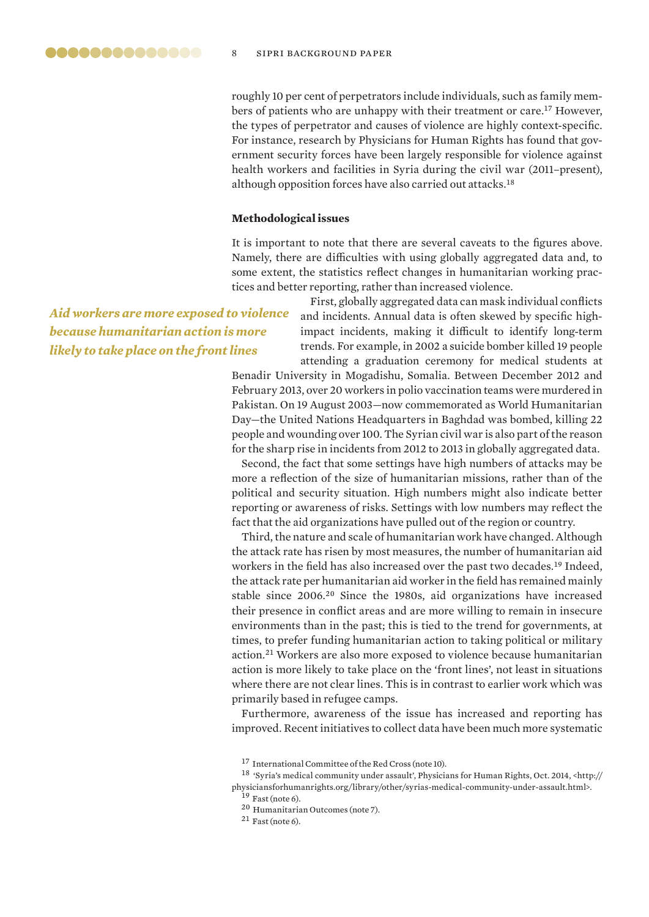roughly 10 per cent of perpetrators include individuals, such as family members of patients who are unhappy with their treatment or care.<sup>17</sup> However, the types of perpetrator and causes of violence are highly context-specific. For instance, research by Physicians for Human Rights has found that government security forces have been largely responsible for violence against health workers and facilities in Syria during the civil war (2011–present), although opposition forces have also carried out attacks.<sup>18</sup>

#### **Methodological issues**

It is important to note that there are several caveats to the figures above. Namely, there are difficulties with using globally aggregated data and, to some extent, the statistics reflect changes in humanitarian working practices and better reporting, rather than increased violence.

*Aid workers are more exposed to violence because humanitarian action is more likely to take place on the front lines*

First, globally aggregated data can mask individual conflicts and incidents. Annual data is often skewed by specific highimpact incidents, making it difficult to identify long-term trends. For example, in 2002 a suicide bomber killed 19 people attending a graduation ceremony for medical students at

Benadir University in Mogadishu, Somalia. Between December 2012 and February 2013, over 20 workers in polio vaccination teams were murdered in Pakistan. On 19 August 2003—now commemorated as World Humanitarian Day—the United Nations Headquarters in Baghdad was bombed, killing 22 people and wounding over 100. The Syrian civil war is also part of the reason for the sharp rise in incidents from 2012 to 2013 in globally aggregated data.

Second, the fact that some settings have high numbers of attacks may be more a reflection of the size of humanitarian missions, rather than of the political and security situation. High numbers might also indicate better reporting or awareness of risks. Settings with low numbers may reflect the fact that the aid organizations have pulled out of the region or country.

Third, the nature and scale of humanitarian work have changed. Although the attack rate has risen by most measures, the number of humanitarian aid workers in the field has also increased over the past two decades.<sup>19</sup> Indeed, the attack rate per humanitarian aid worker in the field has remained mainly stable since 2006.<sup>20</sup> Since the 1980s, aid organizations have increased their presence in conflict areas and are more willing to remain in insecure environments than in the past; this is tied to the trend for governments, at times, to prefer funding humanitarian action to taking political or military action.<sup>21</sup> Workers are also more exposed to violence because humanitarian action is more likely to take place on the 'front lines', not least in situations where there are not clear lines. This is in contrast to earlier work which was primarily based in refugee camps.

Furthermore, awareness of the issue has increased and reporting has improved. Recent initiatives to collect data have been much more systematic

 $21$  Fast (note 6).

<sup>&</sup>lt;sup>17</sup> International Committee of the Red Cross (note 10).

 $^{18}$  'Syria's medical community under assault', Physicians for Human Rights, Oct. 2014, <br/>  $\langle$  http:// physiciansforhumanrights.org/library/other/syrias-medical-community-under-assault.html>.

 $19$  Fast (note 6).

<sup>20</sup> Humanitarian Outcomes (note 7).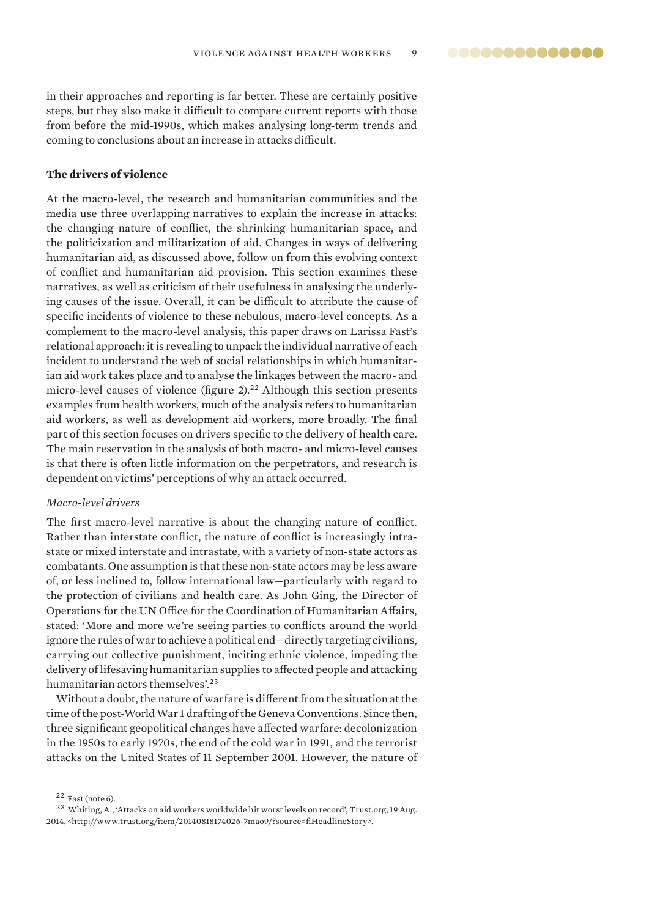in their approaches and reporting is far better. These are certainly positive steps, but they also make it difficult to compare current reports with those from before the mid-1990s, which makes analysing long-term trends and coming to conclusions about an increase in attacks difficult.

## **The drivers of violence**

At the macro-level, the research and humanitarian communities and the media use three overlapping narratives to explain the increase in attacks: the changing nature of conflict, the shrinking humanitarian space, and the politicization and militarization of aid. Changes in ways of delivering humanitarian aid, as discussed above, follow on from this evolving context of conflict and humanitarian aid provision. This section examines these narratives, as well as criticism of their usefulness in analysing the underlying causes of the issue. Overall, it can be difficult to attribute the cause of specific incidents of violence to these nebulous, macro-level concepts. As a complement to the macro-level analysis, this paper draws on Larissa Fast's relational approach: it is revealing to unpack the individual narrative of each incident to understand the web of social relationships in which humanitarian aid work takes place and to analyse the linkages between the macro- and micro-level causes of violence (figure  $2$ ).<sup>22</sup> Although this section presents examples from health workers, much of the analysis refers to humanitarian aid workers, as well as development aid workers, more broadly. The final part of this section focuses on drivers specific to the delivery of health care. The main reservation in the analysis of both macro- and micro-level causes is that there is often little information on the perpetrators, and research is dependent on victims' perceptions of why an attack occurred.

#### *Macro-level drivers*

The first macro-level narrative is about the changing nature of conflict. Rather than interstate conflict, the nature of conflict is increasingly intrastate or mixed interstate and intrastate, with a variety of non-state actors as combatants. One assumption is that these non-state actors may be less aware of, or less inclined to, follow international law—particularly with regard to the protection of civilians and health care. As John Ging, the Director of Operations for the UN Office for the Coordination of Humanitarian Affairs, stated: 'More and more we're seeing parties to conflicts around the world ignore the rules of war to achieve a political end—directly targeting civilians, carrying out collective punishment, inciting ethnic violence, impeding the delivery of lifesaving humanitarian supplies to affected people and attacking humanitarian actors themselves'.<sup>23</sup>

Without a doubt, the nature of warfare is different from the situation at the time of the post-World War I drafting of the Geneva Conventions. Since then, three significant geopolitical changes have affected warfare: decolonization in the 1950s to early 1970s, the end of the cold war in 1991, and the terrorist attacks on the United States of 11 September 2001. However, the nature of

 $22$  Fast (note 6).

<sup>23</sup> Whiting, A., 'Attacks on aid workers worldwide hit worst levels on record', Trust.org, 19 Aug. 2014, <http://www.trust.org/item/20140818174026-7mao9/?source=fi HeadlineStory>.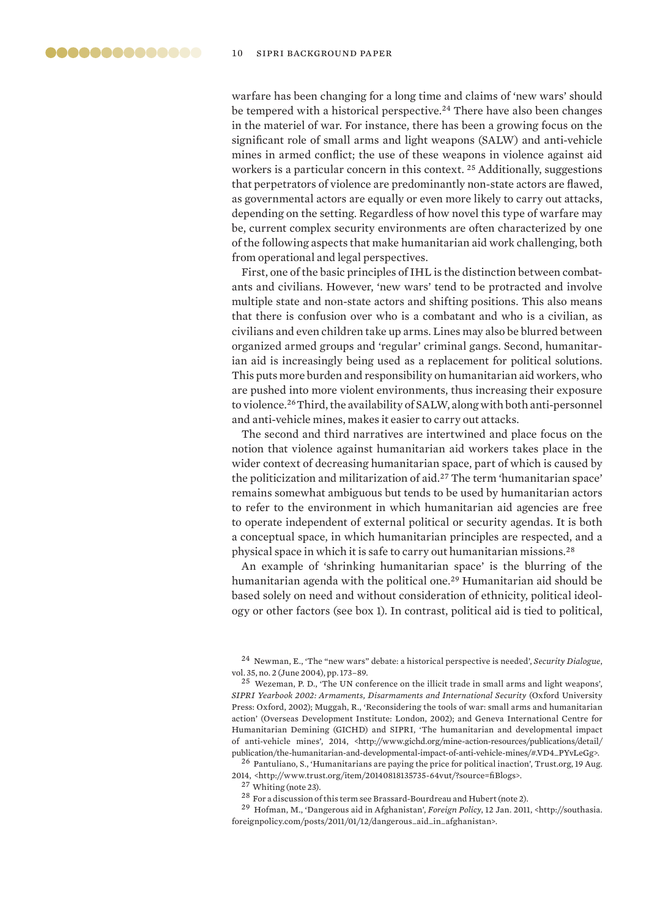warfare has been changing for a long time and claims of 'new wars' should be tempered with a historical perspective.<sup>24</sup> There have also been changes in the materiel of war. For instance, there has been a growing focus on the significant role of small arms and light weapons (SALW) and anti-vehicle mines in armed conflict; the use of these weapons in violence against aid workers is a particular concern in this context. <sup>25</sup> Additionally, suggestions that perpetrators of violence are predominantly non-state actors are flawed, as governmental actors are equally or even more likely to carry out attacks, depending on the setting. Regardless of how novel this type of warfare may be, current complex security environments are often characterized by one of the following aspects that make humanitarian aid work challenging, both from operational and legal perspectives.

First, one of the basic principles of IHL is the distinction between combatants and civilians. However, 'new wars' tend to be protracted and involve multiple state and non-state actors and shifting positions. This also means that there is confusion over who is a combatant and who is a civilian, as civilians and even children take up arms. Lines may also be blurred between organized armed groups and 'regular' criminal gangs. Second, humanitarian aid is increasingly being used as a replacement for political solutions. This puts more burden and responsibility on humanitarian aid workers, who are pushed into more violent environments, thus increasing their exposure to violence.<sup>26</sup>Third, the availability of SALW, along with both anti-personnel and anti-vehicle mines, makes it easier to carry out attacks.

The second and third narratives are intertwined and place focus on the notion that violence against humanitarian aid workers takes place in the wider context of decreasing humanitarian space, part of which is caused by the politicization and militarization of aid.<sup>27</sup> The term 'humanitarian space' remains somewhat ambiguous but tends to be used by humanitarian actors to refer to the environment in which humanitarian aid agencies are free to operate independent of external political or security agendas. It is both a conceptual space, in which humanitarian principles are respected, and a physical space in which it is safe to carry out humanitarian missions.<sup>28</sup>

An example of 'shrinking humanitarian space' is the blurring of the humanitarian agenda with the political one.<sup>29</sup> Humanitarian aid should be based solely on need and without consideration of ethnicity, political ideology or other factors (see box 1). In contrast, political aid is tied to political,

<sup>26</sup> Pantuliano, S., 'Humanitarians are paying the price for political inaction', Trust.org, 19 Aug. 2014, <http://www.trust.org/item/20140818135735-64vut/?source=fi Blogs>.

<sup>29</sup> Hofman, M., 'Dangerous aid in Afghanistan', *Foreign Policy*, 12 Jan. 2011, <http://southasia. foreignpolicy.com/posts/2011/01/12/dangerous\_aid\_in\_afghanistan>.

<sup>24</sup> Newman, E., 'The "new wars" debate: a historical perspective is needed', *Security Dialogue*, vol. 35, no. 2 (June 2004), pp. 173–89.

<sup>25</sup> Wezeman, P. D., 'The UN conference on the illicit trade in small arms and light weapons', *SIPRI Yearbook 2002: Armaments, Disarmaments and International Security* (Oxford University Press: Oxford, 2002); Muggah, R., 'Reconsidering the tools of war: small arms and humanitarian action' (Overseas Development Institute: London, 2002); and Geneva International Centre for Humanitarian Demining (GICHD) and SIPRI, 'The humanitarian and developmental impact of anti-vehicle mines', 2014, <http://www.gichd.org/mine-action-resources/publications/detail/ publication/the-humanitarian-and-developmental-impact-of-anti-vehicle-mines/#.VD4\_PYvLeGg>.

 $27$  Whiting (note 23).

 $^{28}$  For a discussion of this term see Brassard-Bourdreau and Hubert (note 2).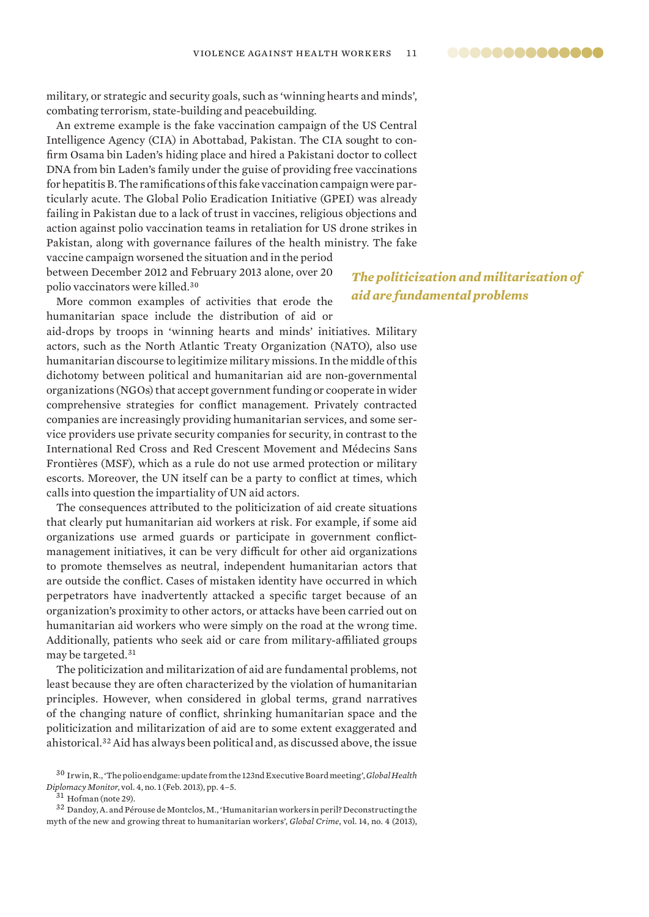military, or strategic and security goals, such as 'winning hearts and minds', combating terrorism, state-building and peacebuilding.

An extreme example is the fake vaccination campaign of the US Central Intelligence Agency (CIA) in Abottabad, Pakistan. The CIA sought to confirm Osama bin Laden's hiding place and hired a Pakistani doctor to collect DNA from bin Laden's family under the guise of providing free vaccinations for hepatitis B. The ramifications of this fake vaccination campaign were particularly acute. The Global Polio Eradication Initiative (GPEI) was already failing in Pakistan due to a lack of trust in vaccines, religious objections and action against polio vaccination teams in retaliation for US drone strikes in Pakistan, along with governance failures of the health ministry. The fake vaccine campaign worsened the situation and in the period

between December 2012 and February 2013 alone, over 20 polio vaccinators were killed.<sup>30</sup>

More common examples of activities that erode the humanitarian space include the distribution of aid or

aid-drops by troops in 'winning hearts and minds' initiatives. Military actors, such as the North Atlantic Treaty Organization (NATO), also use humanitarian discourse to legitimize military missions. In the middle of this dichotomy between political and humanitarian aid are non-governmental organizations (NGOs) that accept government funding or cooperate in wider comprehensive strategies for conflict management. Privately contracted companies are increasingly providing humanitarian services, and some service providers use private security companies for security, in contrast to the International Red Cross and Red Crescent Movement and Médecins Sans Frontières (MSF), which as a rule do not use armed protection or military escorts. Moreover, the UN itself can be a party to conflict at times, which calls into question the impartiality of UN aid actors.

The consequences attributed to the politicization of aid create situations that clearly put humanitarian aid workers at risk. For example, if some aid organizations use armed guards or participate in government conflictmanagement initiatives, it can be very difficult for other aid organizations to promote themselves as neutral, independent humanitarian actors that are outside the conflict. Cases of mistaken identity have occurred in which perpetrators have inadvertently attacked a specific target because of an organization's proximity to other actors, or attacks have been carried out on humanitarian aid workers who were simply on the road at the wrong time. Additionally, patients who seek aid or care from military-affiliated groups may be targeted.<sup>31</sup>

The politicization and militarization of aid are fundamental problems, not least because they are often characterized by the violation of humanitarian principles. However, when considered in global terms, grand narratives of the changing nature of conflict, shrinking humanitarian space and the politicization and militarization of aid are to some extent exaggerated and ahistorical.<sup>32</sup> Aid has always been political and, as discussed above, the issue

<sup>31</sup> Hofman (note 29).

<sup>32</sup> Dandoy, A. and Pérouse de Montclos, M., 'Humanitarian workers in peril? Deconstructing the myth of the new and growing threat to humanitarian workers', *Global Crime*, vol. 14, no. 4 (2013),

*The politicization and militarization of aid are fundamental problems*

<sup>30</sup> Irwin, R., 'The polio endgame: update from the 123nd Executive Board meeting', *Global Health Diplomacy Monitor*, vol. 4, no. 1 (Feb. 2013), pp. 4–5.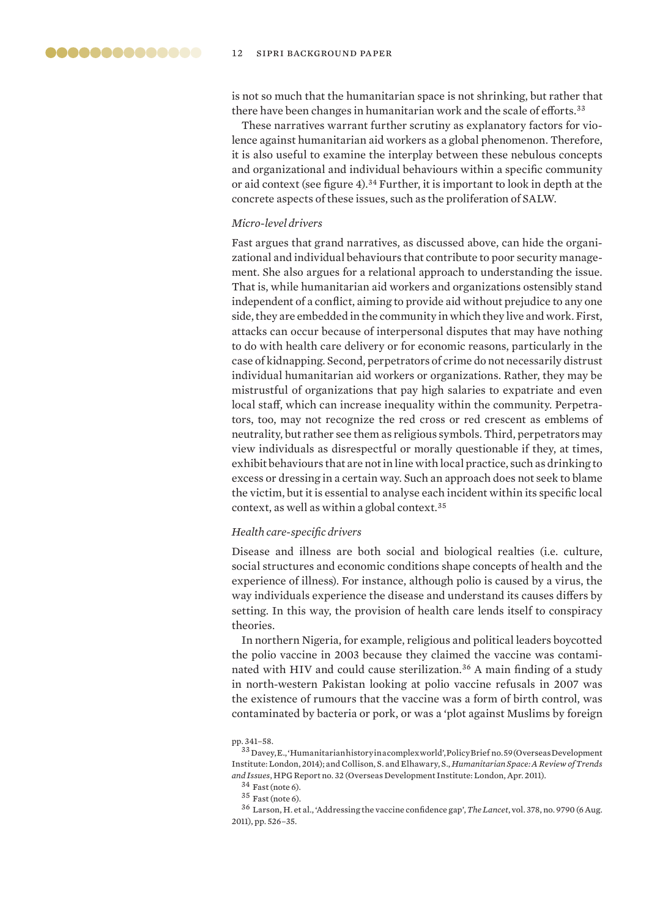is not so much that the humanitarian space is not shrinking, but rather that there have been changes in humanitarian work and the scale of efforts.<sup>33</sup>

These narratives warrant further scrutiny as explanatory factors for violence against humanitarian aid workers as a global phenomenon. Therefore, it is also useful to examine the interplay between these nebulous concepts and organizational and individual behaviours within a specific community or aid context (see figure 4).<sup>34</sup> Further, it is important to look in depth at the concrete aspects of these issues, such as the proliferation of SALW.

## *Micro-level drivers*

Fast argues that grand narratives, as discussed above, can hide the organizational and individual behaviours that contribute to poor security management. She also argues for a relational approach to understanding the issue. That is, while humanitarian aid workers and organizations ostensibly stand independent of a conflict, aiming to provide aid without prejudice to any one side, they are embedded in the community in which they live and work. First, attacks can occur because of interpersonal disputes that may have nothing to do with health care delivery or for economic reasons, particularly in the case of kidnapping. Second, perpetrators of crime do not necessarily distrust individual humanitarian aid workers or organizations. Rather, they may be mistrustful of organizations that pay high salaries to expatriate and even local staff, which can increase inequality within the community. Perpetrators, too, may not recognize the red cross or red crescent as emblems of neutrality, but rather see them as religious symbols. Third, perpetrators may view individuals as disrespectful or morally questionable if they, at times, exhibit behaviours that are not in line with local practice, such as drinking to excess or dressing in a certain way. Such an approach does not seek to blame the victim, but it is essential to analyse each incident within its specific local context, as well as within a global context.<sup>35</sup>

## *Health care-specifi c drivers*

Disease and illness are both social and biological realties (i.e. culture, social structures and economic conditions shape concepts of health and the experience of illness). For instance, although polio is caused by a virus, the way individuals experience the disease and understand its causes differs by setting. In this way, the provision of health care lends itself to conspiracy theories.

In northern Nigeria, for example, religious and political leaders boycotted the polio vaccine in 2003 because they claimed the vaccine was contaminated with HIV and could cause sterilization.<sup>36</sup> A main finding of a study in north-western Pakistan looking at polio vaccine refusals in 2007 was the existence of rumours that the vaccine was a form of birth control, was contaminated by bacteria or pork, or was a 'plot against Muslims by foreign

<sup>35</sup> Fast (note 6).

pp. 341–58.

 $^{33}\rm{D}$ ey, E., 'Humanitarian history in a complex world', Policy Brief no. 59 (Overseas Development Institute: London, 2014); and Collison, S. and Elhawary, S., *Humanitarian Space: A Review of Trends and Issues*, HPG Report no. 32 (Overseas Development Institute: London, Apr. 2011).

 $^{34}$  Fast (note 6).

<sup>&</sup>lt;sup>36</sup> Larson, H. et al., 'Addressing the vaccine confidence gap', The Lancet, vol. 378, no. 9790 (6 Aug. 2011), pp. 526–35.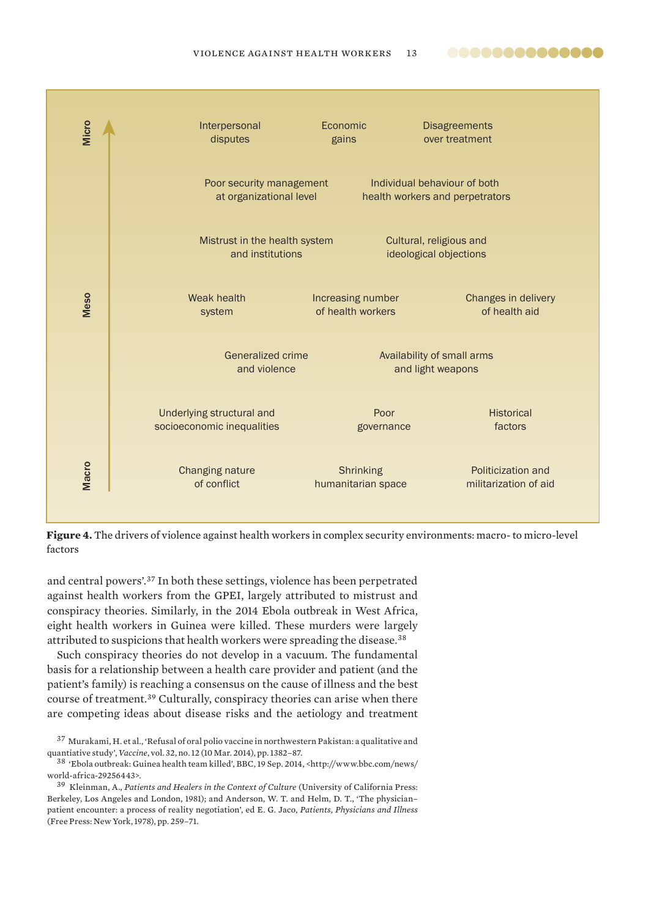



and central powers'.<sup>37</sup> In both these settings, violence has been perpetrated against health workers from the GPEI, largely attributed to mistrust and conspiracy theories. Similarly, in the 2014 Ebola outbreak in West Africa, eight health workers in Guinea were killed. These murders were largely attributed to suspicions that health workers were spreading the disease.<sup>38</sup>

Such conspiracy theories do not develop in a vacuum. The fundamental basis for a relationship between a health care provider and patient (and the patient's family) is reaching a consensus on the cause of illness and the best course of treatment.<sup>39</sup> Culturally, conspiracy theories can arise when there are competing ideas about disease risks and the aetiology and treatment

<sup>37</sup> Murakami, H. et al., 'Refusal of oral polio vaccine in northwestern Pakistan: a qualitative and quantiative study', *Vaccine*, vol. 32, no. 12 (10 Mar. 2014), pp. 1382–87.

<sup>38</sup> 'Ebola outbreak: Guinea health team killed', BBC, 19 Sep. 2014, <http://www.bbc.com/news/ world-africa-29256443>.

<sup>39</sup> Kleinman, A., *Patients and Healers in the Context of Culture* (University of California Press: Berkeley, Los Angeles and London, 1981); and Anderson, W. T. and Helm, D. T., 'The physician– patient encounter: a process of reality negotiation', ed E. G. Jaco, *Patients, Physicians and Illness*  (Free Press: New York, 1978), pp. 259–71.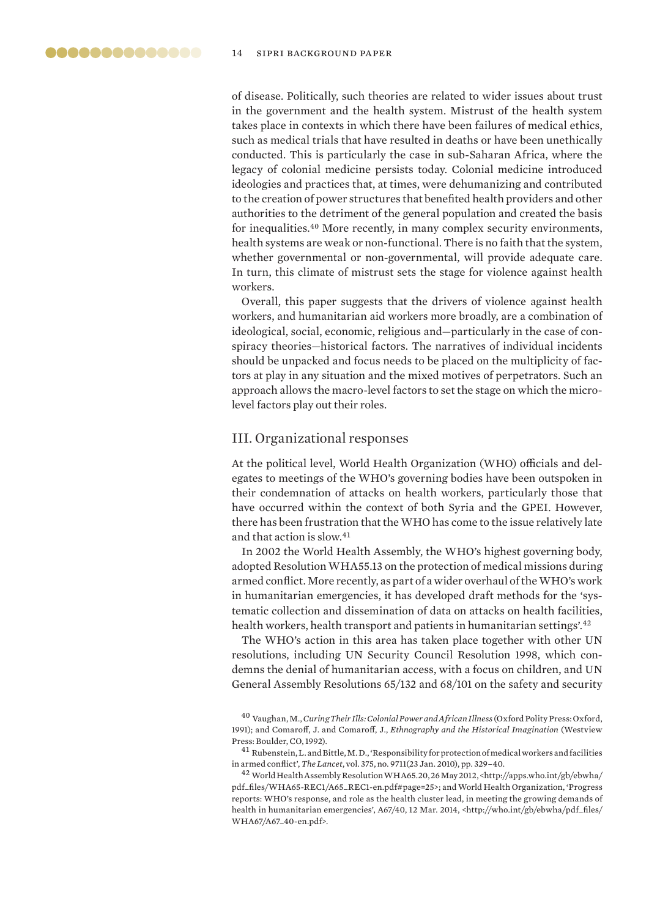of disease. Politically, such theories are related to wider issues about trust in the government and the health system. Mistrust of the health system takes place in contexts in which there have been failures of medical ethics, such as medical trials that have resulted in deaths or have been unethically conducted. This is particularly the case in sub-Saharan Africa, where the legacy of colonial medicine persists today. Colonial medicine introduced ideologies and practices that, at times, were dehumanizing and contributed to the creation of power structures that benefited health providers and other authorities to the detriment of the general population and created the basis for inequalities.<sup>40</sup> More recently, in many complex security environments, health systems are weak or non-functional. There is no faith that the system, whether governmental or non-governmental, will provide adequate care. In turn, this climate of mistrust sets the stage for violence against health workers.

Overall, this paper suggests that the drivers of violence against health workers, and humanitarian aid workers more broadly, are a combination of ideological, social, economic, religious and—particularly in the case of conspiracy theories—historical factors. The narratives of individual incidents should be unpacked and focus needs to be placed on the multiplicity of factors at play in any situation and the mixed motives of perpetrators. Such an approach allows the macro-level factors to set the stage on which the microlevel factors play out their roles.

## III. Organizational responses

At the political level, World Health Organization (WHO) officials and delegates to meetings of the WHO's governing bodies have been outspoken in their condemnation of attacks on health workers, particularly those that have occurred within the context of both Syria and the GPEI. However, there has been frustration that the WHO has come to the issue relatively late and that action is slow.<sup>41</sup>

In 2002 the World Health Assembly, the WHO's highest governing body, adopted Resolution WHA55.13 on the protection of medical missions during armed conflict. More recently, as part of a wider overhaul of the WHO's work in humanitarian emergencies, it has developed draft methods for the 'systematic collection and dissemination of data on attacks on health facilities, health workers, health transport and patients in humanitarian settings'.<sup>42</sup>

The WHO's action in this area has taken place together with other UN resolutions, including UN Security Council Resolution 1998, which condemns the denial of humanitarian access, with a focus on children, and UN General Assembly Resolutions 65/132 and 68/101 on the safety and security

<sup>40</sup> Vaughan, M., *Curing Their Ills: Colonial Power and African Illness* (Oxford Polity Press: Oxford, 1991); and Comaroff , J. and Comaroff , J., *Ethnography and the Historical Imagination* (Westview Press: Boulder, CO, 1992).

 $^{41}$  Rubenstein, L. and Bittle, M. D., 'Responsibility for protection of medical workers and facilities in armed confl ict', *The Lancet*, vol. 375, no. 9711(23 Jan. 2010), pp. 329–40.

<sup>42</sup> World Health Assembly Resolution WHA65.20, 26 May 2012, <http://apps.who.int/gb/ebwha/ pdf\_fi les/WHA65-REC1/A65\_REC1-en.pdf#page=25>; and World Health Organization, 'Progress reports: WHO's response, and role as the health cluster lead, in meeting the growing demands of health in humanitarian emergencies', A67/40, 12 Mar. 2014, <http://who.int/gb/ebwha/pdf\_files/ WHA67/A67\_40-en.pdf>.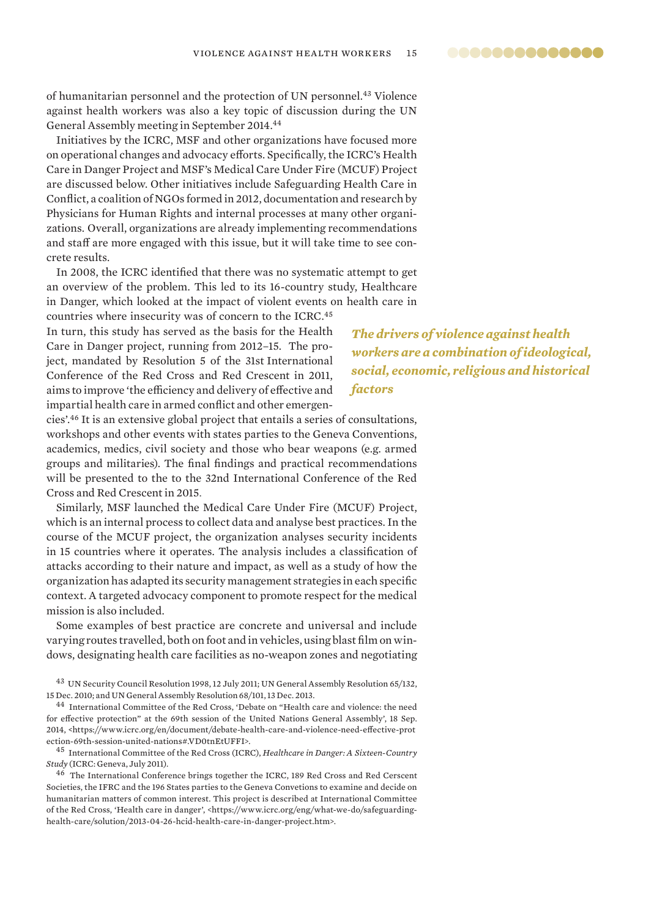00000000000000

of humanitarian personnel and the protection of UN personnel.<sup>43</sup> Violence against health workers was also a key topic of discussion during the UN General Assembly meeting in September 2014.<sup>44</sup>

Initiatives by the ICRC, MSF and other organizations have focused more on operational changes and advocacy efforts. Specifically, the ICRC's Health Care in Danger Project and MSF's Medical Care Under Fire (MCUF) Project are discussed below. Other initiatives include Safeguarding Health Care in Conflict, a coalition of NGOs formed in 2012, documentation and research by Physicians for Human Rights and internal processes at many other organizations. Overall, organizations are already implementing recommendations and staff are more engaged with this issue, but it will take time to see concrete results.

In 2008, the ICRC identified that there was no systematic attempt to get an overview of the problem. This led to its 16-country study, Healthcare in Danger, which looked at the impact of violent events on health care in countries where insecurity was of concern to the ICRC.<sup>45</sup>

In turn, this study has served as the basis for the Health Care in Danger project, running from 2012–15. The project, mandated by Resolution 5 of the 31st International Conference of the Red Cross and Red Crescent in 2011, aims to improve 'the efficiency and delivery of effective and impartial health care in armed conflict and other emergen-

*The drivers of violence against health workers are a combination of ideological, social, economic, religious and historical factors*

cies'.<sup>46</sup> It is an extensive global project that entails a series of consultations, workshops and other events with states parties to the Geneva Conventions, academics, medics, civil society and those who bear weapons (e.g. armed groups and militaries). The final findings and practical recommendations will be presented to the to the 32nd International Conference of the Red Cross and Red Crescent in 2015.

Similarly, MSF launched the Medical Care Under Fire (MCUF) Project, which is an internal process to collect data and analyse best practices. In the course of the MCUF project, the organization analyses security incidents in 15 countries where it operates. The analysis includes a classification of attacks according to their nature and impact, as well as a study of how the organization has adapted its security management strategies in each specific context. A targeted advocacy component to promote respect for the medical mission is also included.

Some examples of best practice are concrete and universal and include varying routes travelled, both on foot and in vehicles, using blast film on windows, designating health care facilities as no-weapon zones and negotiating

<sup>43</sup> UN Security Council Resolution 1998, 12 July 2011; UN General Assembly Resolution 65/132, 15 Dec. 2010; and UN General Assembly Resolution 68/101, 13 Dec. 2013.

<sup>44</sup> International Committee of the Red Cross, 'Debate on "Health care and violence: the need for effective protection" at the 69th session of the United Nations General Assembly', 18 Sep. 2014, <https://www.icrc.org/en/document/debate-health-care-and-violence-need-effective-prot ection-69th-session-united-nations#.VD0tnEtUFFI>.

<sup>45</sup> International Committee of the Red Cross (ICRC), *Healthcare in Danger: A Sixteen-Country Study* (ICRC: Geneva, July 2011).

<sup>46</sup> The International Conference brings together the ICRC, 189 Red Cross and Red Cerscent Societies, the IFRC and the 196 States parties to the Geneva Convetions to examine and decide on humanitarian matters of common interest. This project is described at International Committee of the Red Cross, 'Health care in danger', <https://www.icrc.org/eng/what-we-do/safeguardinghealth-care/solution/2013-04-26-hcid-health-care-in-danger-project.htm>.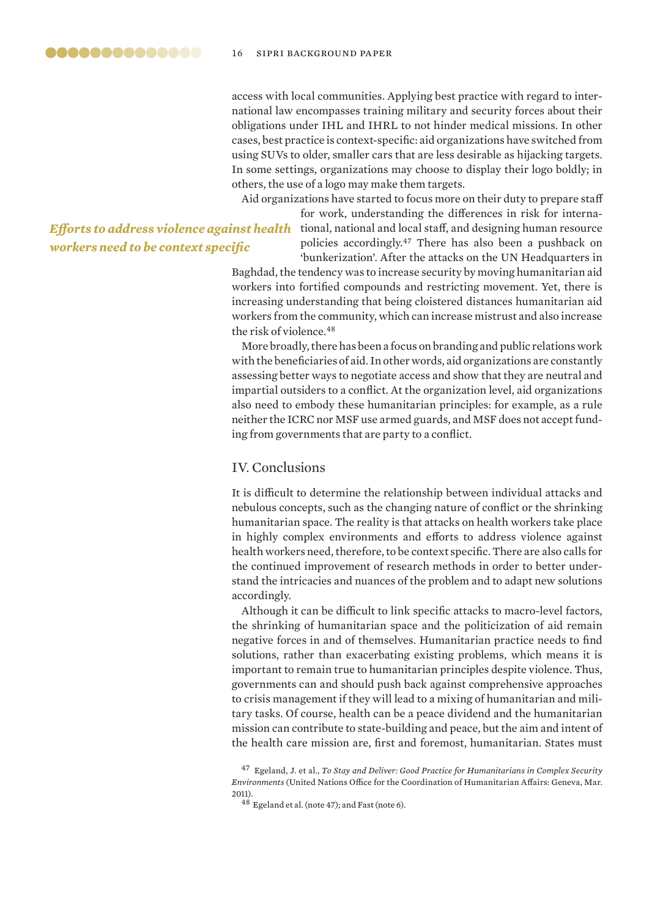access with local communities. Applying best practice with regard to international law encompasses training military and security forces about their obligations under IHL and IHRL to not hinder medical missions. In other cases, best practice is context-specific: aid organizations have switched from using SUVs to older, smaller cars that are less desirable as hijacking targets. In some settings, organizations may choose to display their logo boldly; in others, the use of a logo may make them targets.

Aid organizations have started to focus more on their duty to prepare staff

*Eff orts to address violence against health*  **workers need to be context specific** 

for work, understanding the differences in risk for international, national and local staff, and designing human resource policies accordingly.<sup>47</sup> There has also been a pushback on 'bunkerization'. After the attacks on the UN Headquarters in

Baghdad, the tendency was to increase security by moving humanitarian aid workers into fortified compounds and restricting movement. Yet, there is increasing understanding that being cloistered distances humanitarian aid workers from the community, which can increase mistrust and also increase the risk of violence.<sup>48</sup>

More broadly, there has been a focus on branding and public relations work with the beneficiaries of aid. In other words, aid organizations are constantly assessing better ways to negotiate access and show that they are neutral and impartial outsiders to a conflict. At the organization level, aid organizations also need to embody these humanitarian principles: for example, as a rule neither the ICRC nor MSF use armed guards, and MSF does not accept funding from governments that are party to a conflict.

## IV. Conclusions

It is difficult to determine the relationship between individual attacks and nebulous concepts, such as the changing nature of conflict or the shrinking humanitarian space. The reality is that attacks on health workers take place in highly complex environments and efforts to address violence against health workers need, therefore, to be context specific. There are also calls for the continued improvement of research methods in order to better understand the intricacies and nuances of the problem and to adapt new solutions accordingly.

Although it can be difficult to link specific attacks to macro-level factors, the shrinking of humanitarian space and the politicization of aid remain negative forces in and of themselves. Humanitarian practice needs to find solutions, rather than exacerbating existing problems, which means it is important to remain true to humanitarian principles despite violence. Thus, governments can and should push back against comprehensive approaches to crisis management if they will lead to a mixing of humanitarian and military tasks. Of course, health can be a peace dividend and the humanitarian mission can contribute to state-building and peace, but the aim and intent of the health care mission are, first and foremost, humanitarian. States must

<sup>47</sup> Egeland, J. et al., *To Stay and Deliver: Good Practice for Humanitarians in Complex Security Environments* (United Nations Office for the Coordination of Humanitarian Affairs: Geneva, Mar. 2011).

<sup>48</sup> Egeland et al. (note 47); and Fast (note 6).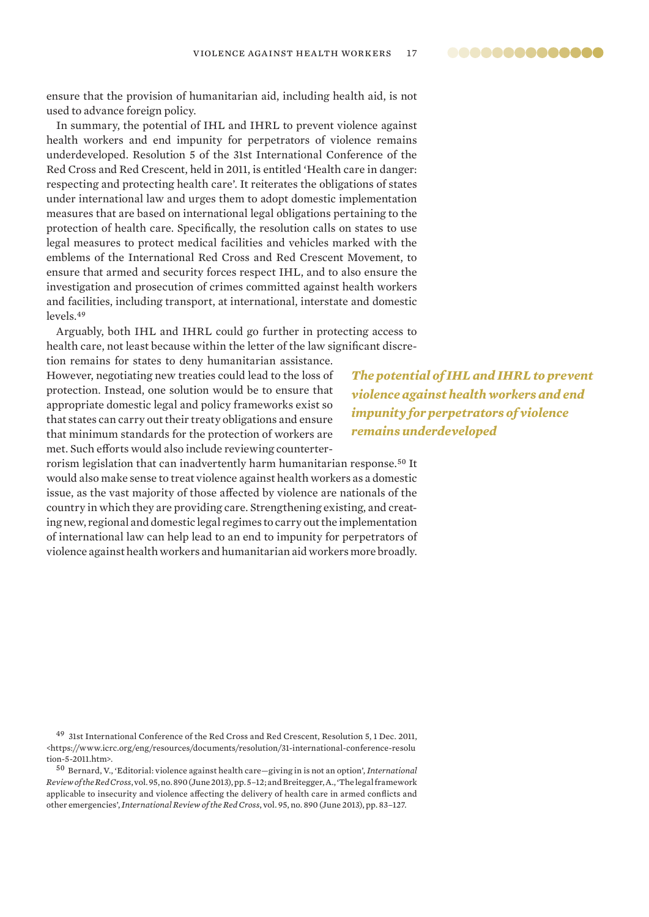ensure that the provision of humanitarian aid, including health aid, is not used to advance foreign policy.

In summary, the potential of IHL and IHRL to prevent violence against health workers and end impunity for perpetrators of violence remains underdeveloped. Resolution 5 of the 31st International Conference of the Red Cross and Red Crescent, held in 2011, is entitled 'Health care in danger: respecting and protecting health care'. It reiterates the obligations of states under international law and urges them to adopt domestic implementation measures that are based on international legal obligations pertaining to the protection of health care. Specifically, the resolution calls on states to use legal measures to protect medical facilities and vehicles marked with the emblems of the International Red Cross and Red Crescent Movement, to ensure that armed and security forces respect IHL, and to also ensure the investigation and prosecution of crimes committed against health workers and facilities, including transport, at international, interstate and domestic levels.<sup>49</sup>

Arguably, both IHL and IHRL could go further in protecting access to health care, not least because within the letter of the law significant discre-

tion remains for states to deny humanitarian assistance. However, negotiating new treaties could lead to the loss of protection. Instead, one solution would be to ensure that appropriate domestic legal and policy frameworks exist so that states can carry out their treaty obligations and ensure that minimum standards for the protection of workers are met. Such efforts would also include reviewing counterter-

*The potential of IHL and IHRL to prevent violence against health workers and end impunity for perpetrators of violence remains underdeveloped*

rorism legislation that can inadvertently harm humanitarian response.<sup>50</sup> It would also make sense to treat violence against health workers as a domestic issue, as the vast majority of those affected by violence are nationals of the country in which they are providing care. Strengthening existing, and creating new, regional and domestic legal regimes to carry out the implementation of international law can help lead to an end to impunity for perpetrators of violence against health workers and humanitarian aid workers more broadly.

<sup>49</sup> 31st International Conference of the Red Cross and Red Crescent, Resolution 5, 1 Dec. 2011, <https://www.icrc.org/eng/resources/documents/resolution/31-international-conference-resolu tion-5-2011.htm>.

<sup>50</sup> Bernard, V., 'Editorial: violence against health care—giving in is not an option', *International Review of the Red Cross*, vol. 95, no. 890 (June 2013), pp. 5–12; and Breitegger, A., 'The legal framework applicable to insecurity and violence affecting the delivery of health care in armed conflicts and other emergencies', *International Review of the Red Cross*, vol. 95, no. 890 (June 2013), pp. 83–127.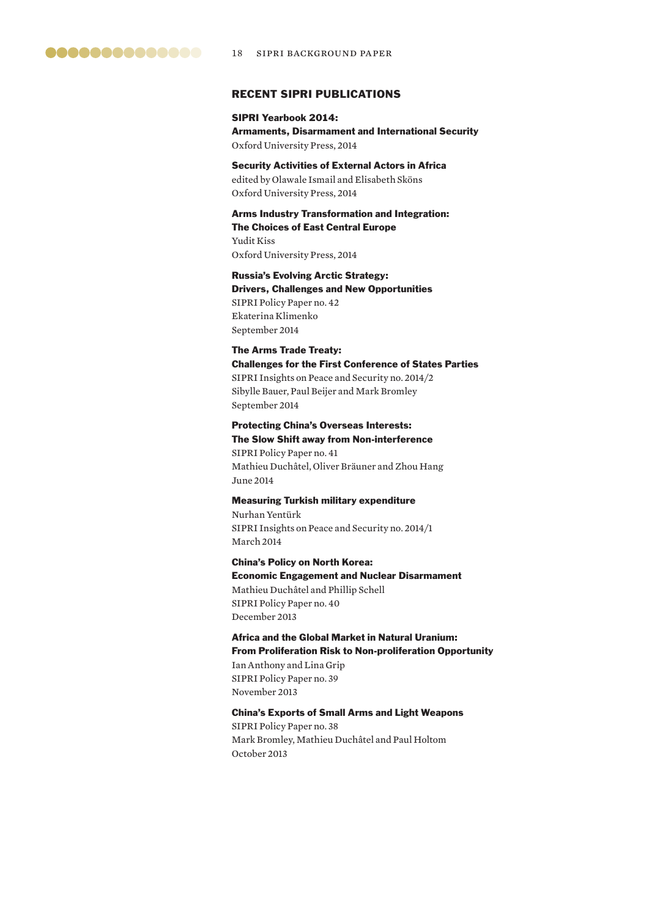## RECENT SIPRI PUBLICATIONS

## SIPRI Yearbook 2014: Armaments, Disarmament and International Security Oxford University Press, 2014

Security Activities of External Actors in Africa edited by Olawale Ismail and Elisabeth Sköns Oxford University Press, 2014

Arms Industry Transformation and Integration: The Choices of East Central Europe Yudit Kiss Oxford University Press, 2014

Russia's Evolving Arctic Strategy: Drivers, Challenges and New Opportunities SIPRI Policy Paper no. 42 Ekaterina Klimenko September 2014

## The Arms Trade Treaty: Challenges for the First Conference of States Parties

SIPRI Insights on Peace and Security no. 2014/2 Sibylle Bauer, Paul Beijer and Mark Bromley September 2014

## Protecting China's Overseas Interests: The Slow Shift away from Non-interference

SIPRI Policy Paper no. 41 Mathieu Duchâtel, Oliver Bräuner and Zhou Hang June 2014

#### Measuring Turkish military expenditure

Nurhan Yentürk SIPRI Insights on Peace and Security no. 2014/1 March 2014

China's Policy on North Korea: Economic Engagement and Nuclear Disarmament Mathieu Duchâtel and Phillip Schell SIPRI Policy Paper no. 40 December 2013

Africa and the Global Market in Natural Uranium: From Proliferation Risk to Non-proliferation Opportunity Ian Anthony and Lina Grip SIPRI Policy Paper no. 39 November 2013

## China's Exports of Small Arms and Light Weapons SIPRI Policy Paper no. 38

Mark Bromley, Mathieu Duchâtel and Paul Holtom October 2013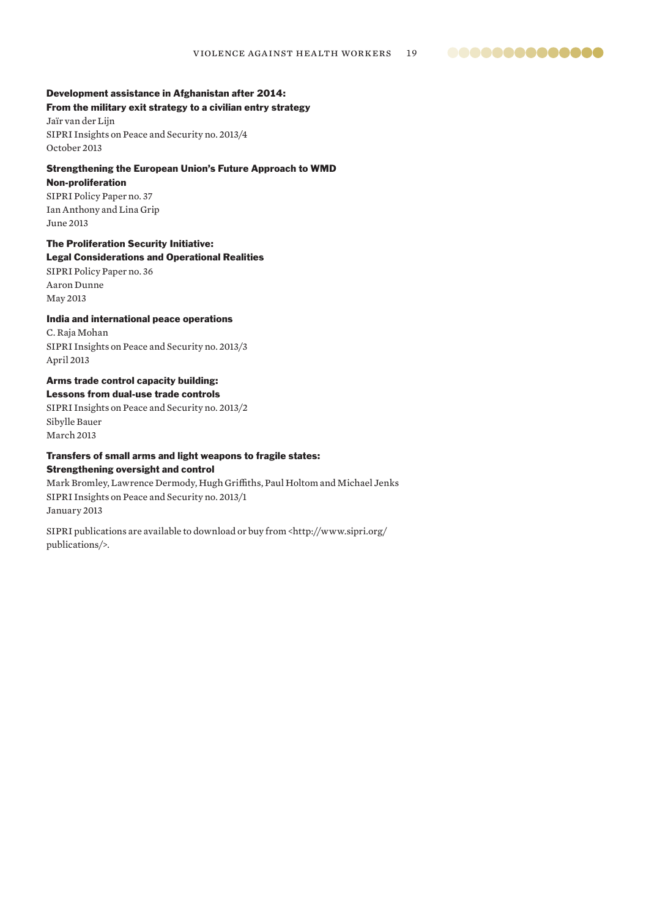## Development assistance in Afghanistan after 2014:

From the military exit strategy to a civilian entry strategy Jaïr van der Lijn

SIPRI Insights on Peace and Security no. 2013/4 October 2013

## Strengthening the European Union's Future Approach to WMD

#### Non-proliferation

SIPRI Policy Paper no. 37 Ian Anthony and Lina Grip June 2013

## The Proliferation Security Initiative:

## Legal Considerations and Operational Realities

SIPRI Policy Paper no. 36 Aaron Dunne May 2013

## India and international peace operations

C. Raja Mohan SIPRI Insights on Peace and Security no. 2013/3 April 2013

## Arms trade control capacity building: Lessons from dual-use trade controls

SIPRI Insights on Peace and Security no. 2013/2 Sibylle Bauer March 2013

## Transfers of small arms and light weapons to fragile states: Strengthening oversight and control

## Mark Bromley, Lawrence Dermody, Hugh Griffiths, Paul Holtom and Michael Jenks SIPRI Insights on Peace and Security no. 2013/1 January 2013

SIPRI publications are available to download or buy from <http://www.sipri.org/ publications/>.